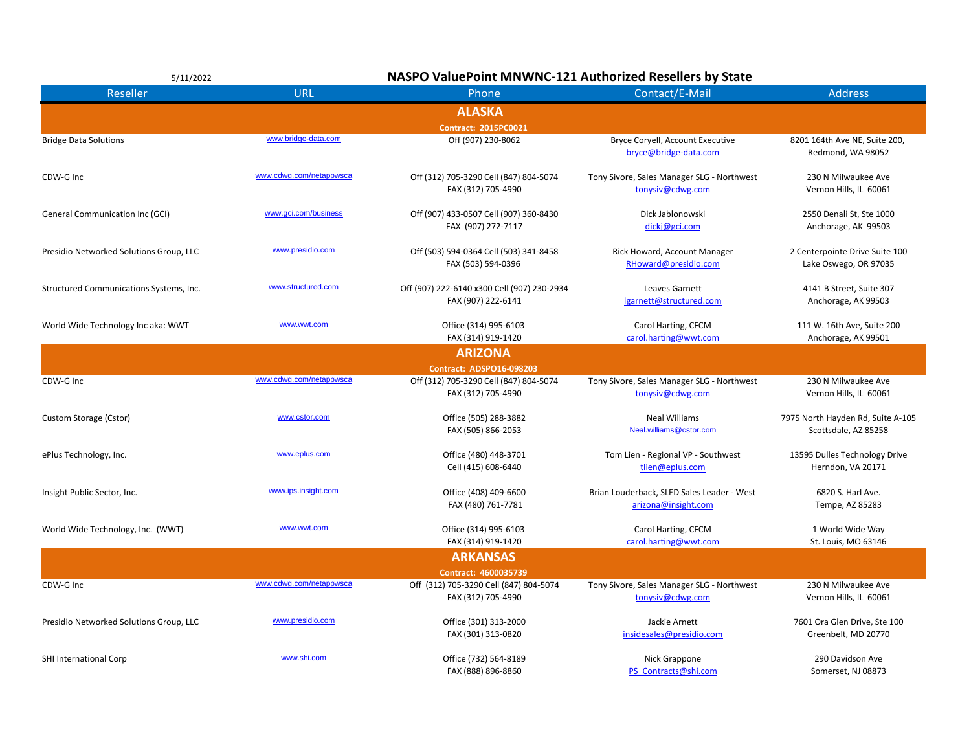| 5/11/2022                               |                         | NASPO ValuePoint MNWNC-121 Authorized Resellers by State          |                                                                   |                                                           |  |
|-----------------------------------------|-------------------------|-------------------------------------------------------------------|-------------------------------------------------------------------|-----------------------------------------------------------|--|
| <b>Reseller</b>                         | <b>URL</b>              | Phone                                                             | Contact/E-Mail                                                    | <b>Address</b>                                            |  |
|                                         |                         | <b>ALASKA</b>                                                     |                                                                   |                                                           |  |
|                                         |                         | <b>Contract: 2015PC0021</b>                                       |                                                                   |                                                           |  |
| <b>Bridge Data Solutions</b>            | www.bridge-data.com     | Off (907) 230-8062                                                | Bryce Coryell, Account Executive<br>bryce@bridge-data.com         | 8201 164th Ave NE, Suite 200,<br>Redmond, WA 98052        |  |
| CDW-G Inc                               | www.cdwg.com/netappwsca | Off (312) 705-3290 Cell (847) 804-5074<br>FAX (312) 705-4990      | Tony Sivore, Sales Manager SLG - Northwest<br>tonysiv@cdwg.com    | 230 N Milwaukee Ave<br>Vernon Hills, IL 60061             |  |
| General Communication Inc (GCI)         | www.gci.com/business    | Off (907) 433-0507 Cell (907) 360-8430<br>FAX (907) 272-7117      | Dick Jablonowski<br>dicki@gci.com                                 | 2550 Denali St, Ste 1000<br>Anchorage, AK 99503           |  |
| Presidio Networked Solutions Group, LLC | www.presidio.com        | Off (503) 594-0364 Cell (503) 341-8458<br>FAX (503) 594-0396      | Rick Howard, Account Manager<br>RHoward@presidio.com              | 2 Centerpointe Drive Suite 100<br>Lake Oswego, OR 97035   |  |
| Structured Communications Systems, Inc. | www.structured.com      | Off (907) 222-6140 x300 Cell (907) 230-2934<br>FAX (907) 222-6141 | Leaves Garnett<br>lgarnett@structured.com                         | 4141 B Street, Suite 307<br>Anchorage, AK 99503           |  |
| World Wide Technology Inc aka: WWT      | www.wwt.com             | Office (314) 995-6103<br>FAX (314) 919-1420                       | Carol Harting, CFCM<br>carol.harting@wwt.com                      | 111 W. 16th Ave, Suite 200<br>Anchorage, AK 99501         |  |
|                                         |                         | <b>ARIZONA</b>                                                    |                                                                   |                                                           |  |
|                                         |                         | <b>Contract: ADSPO16-098203</b>                                   |                                                                   |                                                           |  |
| CDW-G Inc                               | www.cdwg.com/netappwsca | Off (312) 705-3290 Cell (847) 804-5074                            | Tony Sivore, Sales Manager SLG - Northwest                        | 230 N Milwaukee Ave                                       |  |
|                                         |                         | FAX (312) 705-4990                                                | tonysiv@cdwg.com                                                  | Vernon Hills, IL 60061                                    |  |
| Custom Storage (Cstor)                  | www.cstor.com           | Office (505) 288-3882<br>FAX (505) 866-2053                       | <b>Neal Williams</b><br>Neal.williams@cstor.com                   | 7975 North Hayden Rd, Suite A-105<br>Scottsdale, AZ 85258 |  |
| ePlus Technology, Inc.                  | www.eplus.com           | Office (480) 448-3701<br>Cell (415) 608-6440                      | Tom Lien - Regional VP - Southwest<br>tlien@eplus.com             | 13595 Dulles Technology Drive<br>Herndon, VA 20171        |  |
| Insight Public Sector, Inc.             | www.ips.insight.com     | Office (408) 409-6600<br>FAX (480) 761-7781                       | Brian Louderback, SLED Sales Leader - West<br>arizona@insight.com | 6820 S. Harl Ave.<br>Tempe, AZ 85283                      |  |
| World Wide Technology, Inc. (WWT)       | www.wwt.com             | Office (314) 995-6103<br>FAX (314) 919-1420                       | Carol Harting, CFCM<br>carol.harting@wwt.com                      | 1 World Wide Way<br>St. Louis, MO 63146                   |  |
|                                         |                         | <b>ARKANSAS</b>                                                   |                                                                   |                                                           |  |
|                                         |                         | Contract: 4600035739                                              |                                                                   |                                                           |  |
| CDW-G Inc                               | www.cdwg.com/netappwsca | Off (312) 705-3290 Cell (847) 804-5074<br>FAX (312) 705-4990      | Tony Sivore, Sales Manager SLG - Northwest<br>tonysiv@cdwg.com    | 230 N Milwaukee Ave<br>Vernon Hills, IL 60061             |  |
| Presidio Networked Solutions Group, LLC | www.presidio.com        | Office (301) 313-2000<br>FAX (301) 313-0820                       | Jackie Arnett<br>insidesales@presidio.com                         | 7601 Ora Glen Drive, Ste 100<br>Greenbelt, MD 20770       |  |
| SHI International Corp                  | www.shi.com             | Office (732) 564-8189<br>FAX (888) 896-8860                       | Nick Grappone<br>PS Contracts@shi.com                             | 290 Davidson Ave<br>Somerset, NJ 08873                    |  |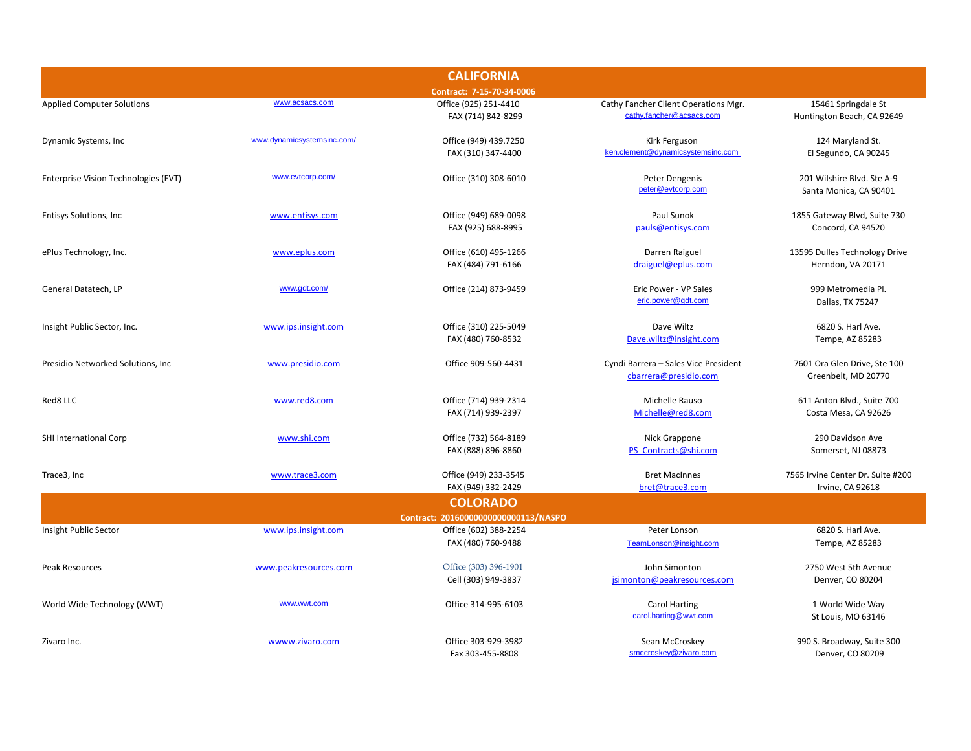|                                      |                            | <b>CALIFORNIA</b>                            |                                                                  |                                                       |
|--------------------------------------|----------------------------|----------------------------------------------|------------------------------------------------------------------|-------------------------------------------------------|
|                                      |                            | Contract: 7-15-70-34-0006                    |                                                                  |                                                       |
| <b>Applied Computer Solutions</b>    | www.acsacs.com             | Office (925) 251-4410<br>FAX (714) 842-8299  | Cathy Fancher Client Operations Mgr.<br>cathy.fancher@acsacs.com | 15461 Springdale St<br>Huntington Beach, CA 92649     |
| Dynamic Systems, Inc.                | www.dynamicsystemsinc.com/ | Office (949) 439.7250<br>FAX (310) 347-4400  | Kirk Ferguson<br>ken.clement@dynamicsystemsinc.com               | 124 Maryland St.<br>El Segundo, CA 90245              |
| Enterprise Vision Technologies (EVT) | www.evtcorp.com/           | Office (310) 308-6010                        | Peter Dengenis<br>peter@evtcorp.com                              | 201 Wilshire Blvd. Ste A-9<br>Santa Monica, CA 90401  |
| Entisys Solutions, Inc               | www.entisys.com            | Office (949) 689-0098<br>FAX (925) 688-8995  | Paul Sunok<br>pauls@entisys.com                                  | 1855 Gateway Blvd, Suite 730<br>Concord, CA 94520     |
| ePlus Technology, Inc.               | www.eplus.com              | Office (610) 495-1266<br>FAX (484) 791-6166  | Darren Raiguel<br>draiguel@eplus.com                             | 13595 Dulles Technology Drive<br>Herndon, VA 20171    |
| General Datatech, LP                 | www.gdt.com/               | Office (214) 873-9459                        | Eric Power - VP Sales<br>eric.power@qdt.com                      | 999 Metromedia Pl.<br>Dallas, TX 75247                |
| Insight Public Sector, Inc.          | www.ips.insight.com        | Office (310) 225-5049<br>FAX (480) 760-8532  | Dave Wiltz<br>Dave.wiltz@insight.com                             | 6820 S. Harl Ave.<br>Tempe, AZ 85283                  |
| Presidio Networked Solutions, Inc.   | www.presidio.com           | Office 909-560-4431                          | Cyndi Barrera - Sales Vice President<br>cbarrera@presidio.com    | 7601 Ora Glen Drive, Ste 100<br>Greenbelt, MD 20770   |
| Red8 LLC                             | www.red8.com               | Office (714) 939-2314<br>FAX (714) 939-2397  | Michelle Rauso<br>Michelle@red8.com                              | 611 Anton Blvd., Suite 700<br>Costa Mesa, CA 92626    |
| SHI International Corp               | www.shi.com                | Office (732) 564-8189<br>FAX (888) 896-8860  | Nick Grappone<br>PS Contracts@shi.com                            | 290 Davidson Ave<br>Somerset, NJ 08873                |
| Trace3, Inc                          | www.trace3.com             | Office (949) 233-3545<br>FAX (949) 332-2429  | <b>Bret MacInnes</b><br>bret@trace3.com                          | 7565 Irvine Center Dr. Suite #200<br>Irvine, CA 92618 |
|                                      |                            | <b>COLORADO</b>                              |                                                                  |                                                       |
|                                      |                            | Contract: 20160000000000000113/NASPO         |                                                                  |                                                       |
| Insight Public Sector                | www.ips.insight.com        | Office (602) 388-2254<br>FAX (480) 760-9488  | Peter Lonson<br>TeamLonson@insight.com                           | 6820 S. Harl Ave.<br>Tempe, AZ 85283                  |
| Peak Resources                       | www.peakresources.com      | Office (303) 396-1901<br>Cell (303) 949-3837 | John Simonton<br>jsimonton@peakresources.com                     | 2750 West 5th Avenue<br>Denver, CO 80204              |
| World Wide Technology (WWT)          | www.wwt.com                | Office 314-995-6103                          | <b>Carol Harting</b><br>carol.harting@wwt.com                    | 1 World Wide Way<br>St Louis, MO 63146                |
| Zivaro Inc.                          | wwww.zivaro.com            | Office 303-929-3982<br>Fax 303-455-8808      | Sean McCroskey<br>smccroskey@zivaro.com                          | 990 S. Broadway, Suite 300<br>Denver, CO 80209        |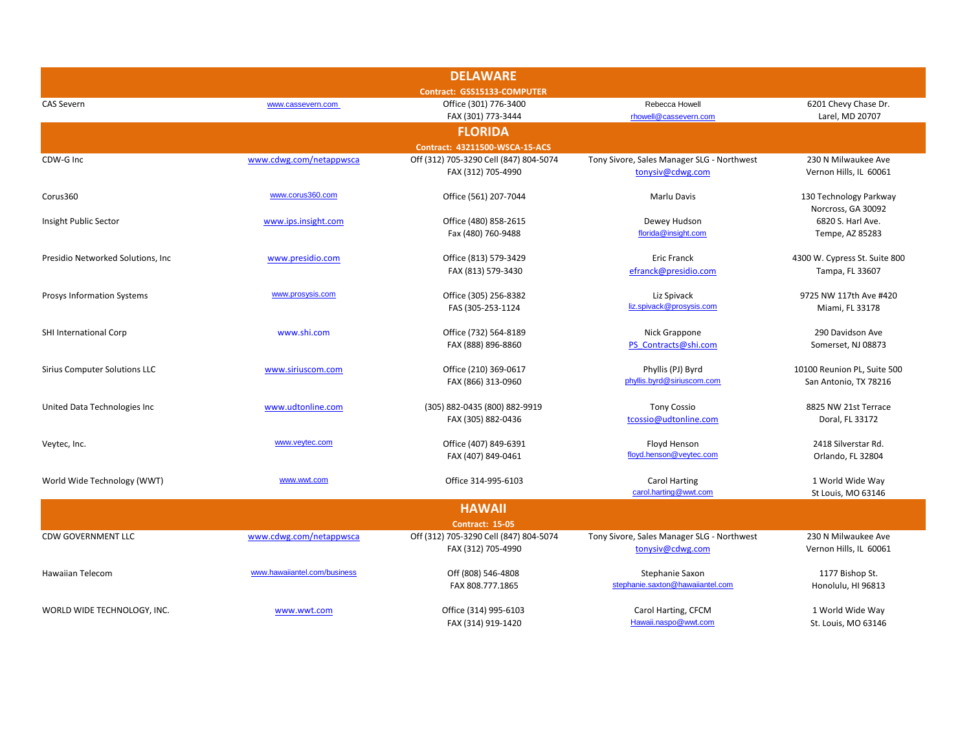|                                      |                              | <b>DELAWARE</b>                        |                                            |                               |
|--------------------------------------|------------------------------|----------------------------------------|--------------------------------------------|-------------------------------|
|                                      |                              | Contract: GSS15133-COMPUTER            |                                            |                               |
| <b>CAS Severn</b>                    | www.cassevern.com            | Office (301) 776-3400                  | Rebecca Howell                             | 6201 Chevy Chase Dr.          |
|                                      |                              | FAX (301) 773-3444                     | rhowell@cassevern.com                      | Larel, MD 20707               |
|                                      |                              | <b>FLORIDA</b>                         |                                            |                               |
|                                      |                              | Contract: 43211500-WSCA-15-ACS         |                                            |                               |
| CDW-G Inc                            | www.cdwg.com/netappwsca      | Off (312) 705-3290 Cell (847) 804-5074 | Tony Sivore, Sales Manager SLG - Northwest | 230 N Milwaukee Ave           |
|                                      |                              | FAX (312) 705-4990                     | tonysiv@cdwg.com                           | Vernon Hills, IL 60061        |
| Corus360                             | www.corus360.com             | Office (561) 207-7044                  | Marlu Davis                                | 130 Technology Parkway        |
|                                      |                              |                                        |                                            | Norcross, GA 30092            |
| Insight Public Sector                | www.ips.insight.com          | Office (480) 858-2615                  | Dewey Hudson                               | 6820 S. Harl Ave.             |
|                                      |                              | Fax (480) 760-9488                     | florida@insight.com                        | Tempe, AZ 85283               |
| Presidio Networked Solutions, Inc.   | www.presidio.com             | Office (813) 579-3429                  | <b>Eric Franck</b>                         | 4300 W. Cypress St. Suite 800 |
|                                      |                              | FAX (813) 579-3430                     | efranck@presidio.com                       | Tampa, FL 33607               |
|                                      |                              |                                        |                                            |                               |
| Prosys Information Systems           | www.prosysis.com             | Office (305) 256-8382                  | Liz Spivack                                | 9725 NW 117th Ave #420        |
|                                      |                              | FAS (305-253-1124                      | liz.spivack@prosysis.com                   | Miami, FL 33178               |
| SHI International Corp               | www.shi.com                  | Office (732) 564-8189                  | Nick Grappone                              | 290 Davidson Ave              |
|                                      |                              | FAX (888) 896-8860                     | PS Contracts@shi.com                       | Somerset, NJ 08873            |
|                                      |                              |                                        |                                            |                               |
| <b>Sirius Computer Solutions LLC</b> | www.siriuscom.com            | Office (210) 369-0617                  | Phyllis (PJ) Byrd                          | 10100 Reunion PL, Suite 500   |
|                                      |                              | FAX (866) 313-0960                     | phyllis.byrd@siriuscom.com                 | San Antonio, TX 78216         |
| United Data Technologies Inc         | www.udtonline.com            | (305) 882-0435 (800) 882-9919          | <b>Tony Cossio</b>                         | 8825 NW 21st Terrace          |
|                                      |                              | FAX (305) 882-0436                     | tcossio@udtonline.com                      | Doral, FL 33172               |
| Veytec, Inc.                         | www.veytec.com               | Office (407) 849-6391                  | Floyd Henson                               | 2418 Silverstar Rd.           |
|                                      |                              | FAX (407) 849-0461                     | floyd.henson@veytec.com                    | Orlando, FL 32804             |
|                                      |                              |                                        |                                            |                               |
| World Wide Technology (WWT)          | www.wwt.com                  | Office 314-995-6103                    | <b>Carol Harting</b>                       | 1 World Wide Way              |
|                                      |                              |                                        | carol.harting@wwt.com                      | St Louis, MO 63146            |
|                                      |                              | <b>HAWAII</b>                          |                                            |                               |
|                                      |                              | <b>Contract: 15-05</b>                 |                                            |                               |
| <b>CDW GOVERNMENT LLC</b>            | www.cdwg.com/netappwsca      | Off (312) 705-3290 Cell (847) 804-5074 | Tony Sivore, Sales Manager SLG - Northwest | 230 N Milwaukee Ave           |
|                                      |                              | FAX (312) 705-4990                     | tonysiv@cdwg.com                           | Vernon Hills, IL 60061        |
| <b>Hawaiian Telecom</b>              | www.hawaiiantel.com/business | Off (808) 546-4808                     | Stephanie Saxon                            | 1177 Bishop St.               |
|                                      |                              | FAX 808.777.1865                       | stephanie.saxton@hawaiiantel.com           | Honolulu, HI 96813            |
|                                      |                              |                                        |                                            |                               |
| WORLD WIDE TECHNOLOGY, INC.          | www.wwt.com                  | Office (314) 995-6103                  | Carol Harting, CFCM                        | 1 World Wide Way              |
|                                      |                              | FAX (314) 919-1420                     | Hawaii.naspo@wwt.com                       | St. Louis, MO 63146           |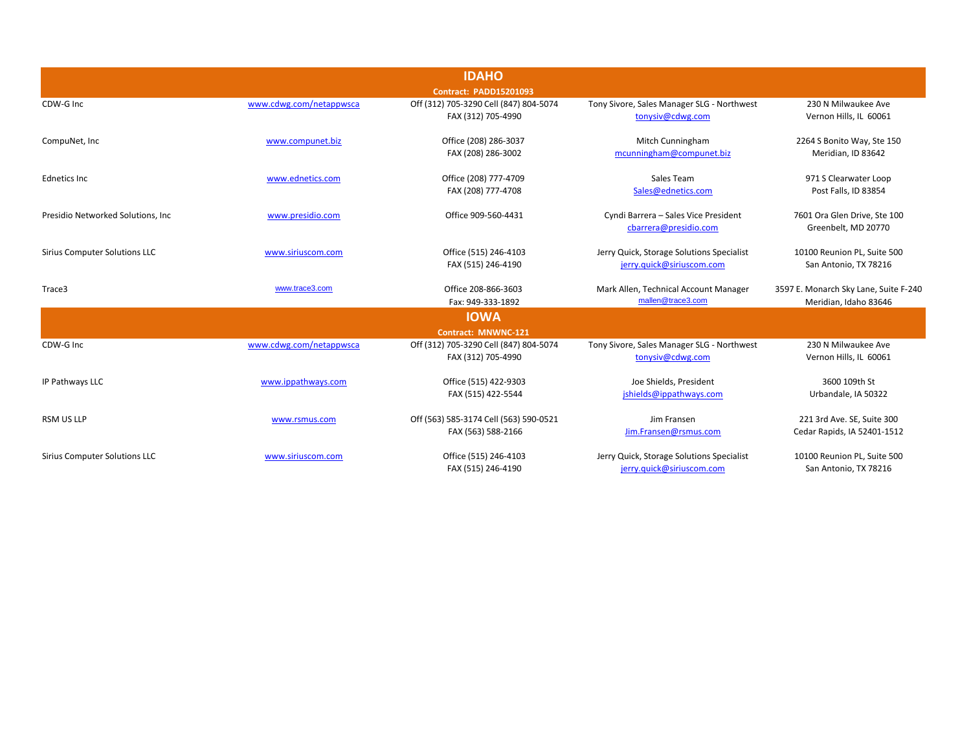|                                      |                         | <b>IDAHO</b>                                                 |                                                                        |                                                                |
|--------------------------------------|-------------------------|--------------------------------------------------------------|------------------------------------------------------------------------|----------------------------------------------------------------|
|                                      |                         | <b>Contract: PADD15201093</b>                                |                                                                        |                                                                |
| CDW-G Inc                            | www.cdwg.com/netappwsca | Off (312) 705-3290 Cell (847) 804-5074<br>FAX (312) 705-4990 | Tony Sivore, Sales Manager SLG - Northwest<br>tonysiv@cdwg.com         | 230 N Milwaukee Ave<br>Vernon Hills, IL 60061                  |
| CompuNet, Inc                        | www.compunet.biz        | Office (208) 286-3037<br>FAX (208) 286-3002                  | Mitch Cunningham<br>mcunningham@compunet.biz                           | 2264 S Bonito Way, Ste 150<br>Meridian, ID 83642               |
| <b>Ednetics Inc</b>                  | www.ednetics.com        | Office (208) 777-4709<br>FAX (208) 777-4708                  | Sales Team<br>Sales@ednetics.com                                       | 971 S Clearwater Loop<br>Post Falls, ID 83854                  |
| Presidio Networked Solutions, Inc.   | www.presidio.com        | Office 909-560-4431                                          | Cyndi Barrera - Sales Vice President<br>cbarrera@presidio.com          | 7601 Ora Glen Drive, Ste 100<br>Greenbelt, MD 20770            |
| <b>Sirius Computer Solutions LLC</b> | www.siriuscom.com       | Office (515) 246-4103<br>FAX (515) 246-4190                  | Jerry Quick, Storage Solutions Specialist<br>jerry.quick@siriuscom.com | 10100 Reunion PL, Suite 500<br>San Antonio, TX 78216           |
| Trace3                               | www.trace3.com          | Office 208-866-3603<br>Fax: 949-333-1892                     | Mark Allen, Technical Account Manager<br>mallen@trace3.com             | 3597 E. Monarch Sky Lane, Suite F-240<br>Meridian, Idaho 83646 |
|                                      |                         | <b>IOWA</b>                                                  |                                                                        |                                                                |
|                                      |                         | <b>Contract: MNWNC-121</b>                                   |                                                                        |                                                                |
| CDW-G Inc                            | www.cdwg.com/netappwsca | Off (312) 705-3290 Cell (847) 804-5074<br>FAX (312) 705-4990 | Tony Sivore, Sales Manager SLG - Northwest<br>tonysiv@cdwg.com         | 230 N Milwaukee Ave<br>Vernon Hills, IL 60061                  |
| IP Pathways LLC                      | www.ippathways.com      | Office (515) 422-9303<br>FAX (515) 422-5544                  | Joe Shields, President<br>jshields@ippathways.com                      | 3600 109th St<br>Urbandale, IA 50322                           |
| <b>RSM US LLP</b>                    | www.rsmus.com           | Off (563) 585-3174 Cell (563) 590-0521<br>FAX (563) 588-2166 | Jim Fransen<br>Jim.Fransen@rsmus.com                                   | 221 3rd Ave. SE, Suite 300<br>Cedar Rapids, IA 52401-1512      |
| <b>Sirius Computer Solutions LLC</b> | www.siriuscom.com       | Office (515) 246-4103<br>FAX (515) 246-4190                  | Jerry Quick, Storage Solutions Specialist<br>ierry.quick@siriuscom.com | 10100 Reunion PL, Suite 500<br>San Antonio, TX 78216           |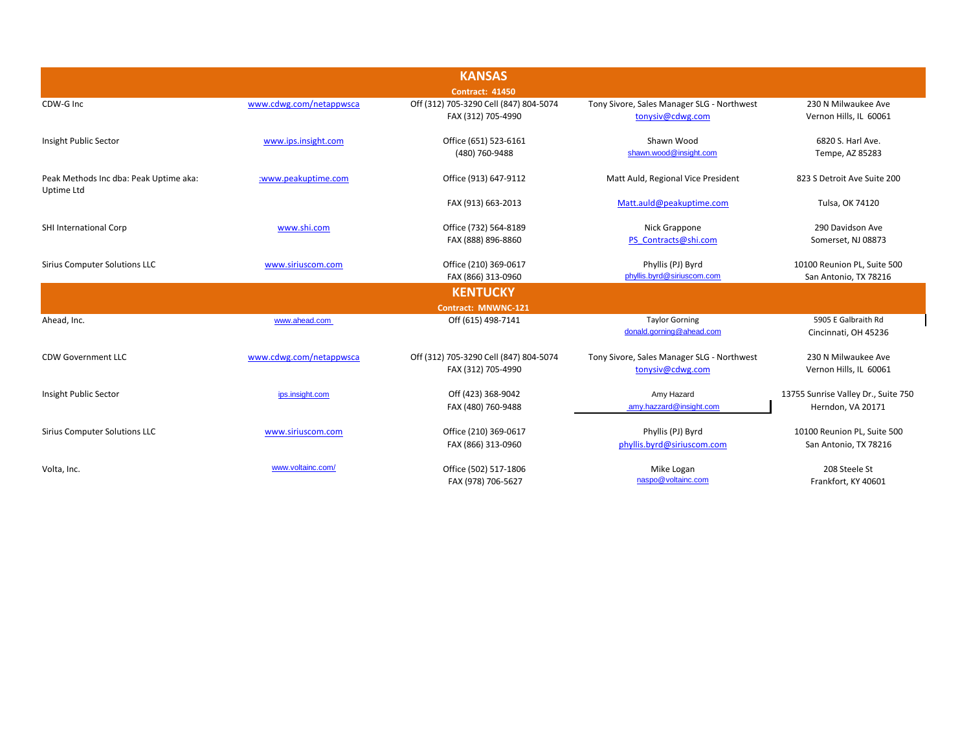|                                                      |                         | <b>KANSAS</b>                                                |                                                                |                                                          |
|------------------------------------------------------|-------------------------|--------------------------------------------------------------|----------------------------------------------------------------|----------------------------------------------------------|
|                                                      |                         | <b>Contract: 41450</b>                                       |                                                                |                                                          |
| CDW-G Inc                                            | www.cdwg.com/netappwsca | Off (312) 705-3290 Cell (847) 804-5074<br>FAX (312) 705-4990 | Tony Sivore, Sales Manager SLG - Northwest<br>tonysiv@cdwg.com | 230 N Milwaukee Ave<br>Vernon Hills, IL 60061            |
| Insight Public Sector                                | www.ips.insight.com     | Office (651) 523-6161<br>(480) 760-9488                      | Shawn Wood<br>shawn.wood@insight.com                           | 6820 S. Harl Ave.<br>Tempe, AZ 85283                     |
| Peak Methods Inc dba: Peak Uptime aka:<br>Uptime Ltd | :www.peakuptime.com     | Office (913) 647-9112                                        | Matt Auld, Regional Vice President                             | 823 S Detroit Ave Suite 200                              |
|                                                      |                         | FAX (913) 663-2013                                           | Matt.auld@peakuptime.com                                       | Tulsa, OK 74120                                          |
| SHI International Corp                               | www.shi.com             | Office (732) 564-8189<br>FAX (888) 896-8860                  | Nick Grappone<br>PS Contracts@shi.com                          | 290 Davidson Ave<br>Somerset, NJ 08873                   |
| <b>Sirius Computer Solutions LLC</b>                 | www.siriuscom.com       | Office (210) 369-0617<br>FAX (866) 313-0960                  | Phyllis (PJ) Byrd<br>phyllis.byrd@siriuscom.com                | 10100 Reunion PL, Suite 500<br>San Antonio, TX 78216     |
|                                                      |                         | <b>KENTUCKY</b>                                              |                                                                |                                                          |
|                                                      |                         | Contract: MNWNC-121                                          |                                                                |                                                          |
| Ahead, Inc.                                          | www.ahead.com           | Off (615) 498-7141                                           | <b>Taylor Gorning</b><br>donald.gorning@ahead.com              | 5905 E Galbraith Rd<br>Cincinnati, OH 45236              |
| CDW Government LLC                                   | www.cdwg.com/netappwsca | Off (312) 705-3290 Cell (847) 804-5074<br>FAX (312) 705-4990 | Tony Sivore, Sales Manager SLG - Northwest<br>tonysiv@cdwg.com | 230 N Milwaukee Ave<br>Vernon Hills, IL 60061            |
| Insight Public Sector                                | ips.insight.com         | Off (423) 368-9042<br>FAX (480) 760-9488                     | Amy Hazard<br>amy.hazzard@insight.com                          | 13755 Sunrise Valley Dr., Suite 750<br>Herndon, VA 20171 |
| <b>Sirius Computer Solutions LLC</b>                 | www.siriuscom.com       | Office (210) 369-0617<br>FAX (866) 313-0960                  | Phyllis (PJ) Byrd<br>phyllis.byrd@siriuscom.com                | 10100 Reunion PL, Suite 500<br>San Antonio, TX 78216     |
| Volta, Inc.                                          | www.voltainc.com/       | Office (502) 517-1806<br>FAX (978) 706-5627                  | Mike Logan<br>naspo@voltainc.com                               | 208 Steele St<br>Frankfort, KY 40601                     |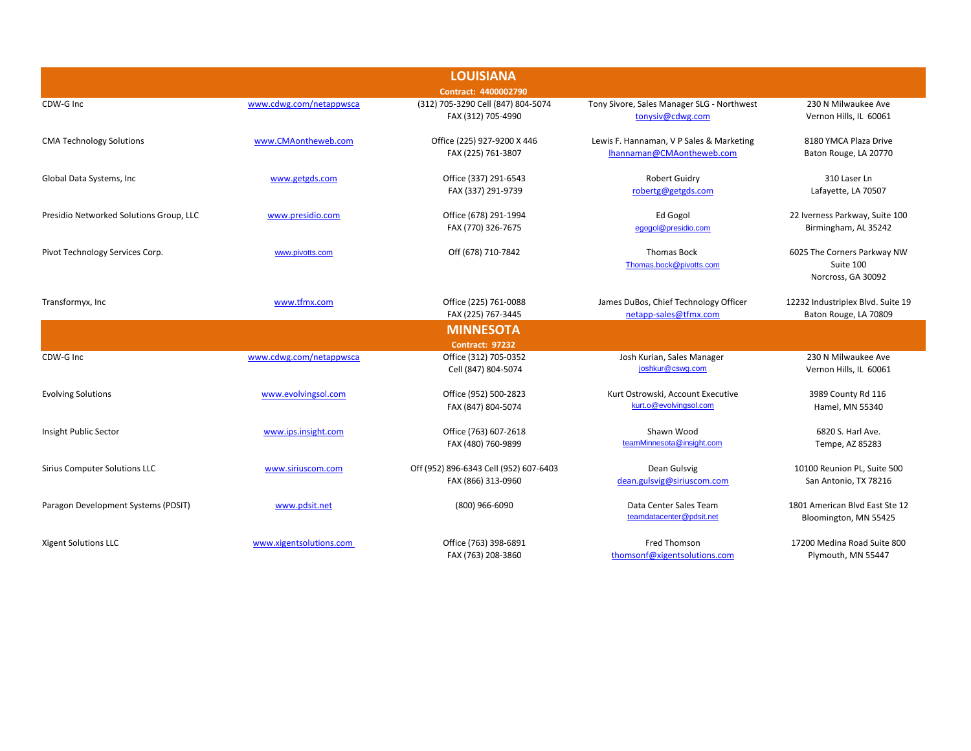| <b>LOUISIANA</b>                        |                         |                                        |                                                |                                   |  |  |
|-----------------------------------------|-------------------------|----------------------------------------|------------------------------------------------|-----------------------------------|--|--|
|                                         | Contract: 4400002790    |                                        |                                                |                                   |  |  |
| CDW-G Inc                               | www.cdwg.com/netappwsca | (312) 705-3290 Cell (847) 804-5074     | Tony Sivore, Sales Manager SLG - Northwest     | 230 N Milwaukee Ave               |  |  |
|                                         |                         | FAX (312) 705-4990                     | tonysiv@cdwg.com                               | Vernon Hills, IL 60061            |  |  |
| <b>CMA Technology Solutions</b>         | www.CMAontheweb.com     | Office (225) 927-9200 X 446            | Lewis F. Hannaman, V P Sales & Marketing       | 8180 YMCA Plaza Drive             |  |  |
|                                         |                         | FAX (225) 761-3807                     | Ihannaman@CMAontheweb.com                      | Baton Rouge, LA 20770             |  |  |
| Global Data Systems, Inc                | www.getgds.com          | Office (337) 291-6543                  | <b>Robert Guidry</b>                           | 310 Laser Ln                      |  |  |
|                                         |                         | FAX (337) 291-9739                     | robertg@getgds.com                             | Lafayette, LA 70507               |  |  |
| Presidio Networked Solutions Group, LLC | www.presidio.com        | Office (678) 291-1994                  | Ed Gogol                                       | 22 Iverness Parkway, Suite 100    |  |  |
|                                         |                         | FAX (770) 326-7675                     | egogol@presidio.com                            | Birmingham, AL 35242              |  |  |
| Pivot Technology Services Corp.         | www.pivotts.com         | Off (678) 710-7842                     | <b>Thomas Bock</b>                             | 6025 The Corners Parkway NW       |  |  |
|                                         |                         |                                        | Thomas.bock@pivotts.com                        | Suite 100                         |  |  |
|                                         |                         |                                        |                                                | Norcross, GA 30092                |  |  |
| Transformyx, Inc                        | www.tfmx.com            | Office (225) 761-0088                  | James DuBos, Chief Technology Officer          | 12232 Industriplex Blvd. Suite 19 |  |  |
|                                         |                         | FAX (225) 767-3445                     | netapp-sales@tfmx.com                          | Baton Rouge, LA 70809             |  |  |
|                                         |                         | <b>MINNESOTA</b>                       |                                                |                                   |  |  |
|                                         |                         | <b>Contract: 97232</b>                 |                                                |                                   |  |  |
| CDW-G Inc                               | www.cdwg.com/netappwsca | Office (312) 705-0352                  | Josh Kurian, Sales Manager<br>joshkur@cswq.com | 230 N Milwaukee Ave               |  |  |
|                                         |                         | Cell (847) 804-5074                    |                                                | Vernon Hills, IL 60061            |  |  |
| <b>Evolving Solutions</b>               | www.evolvingsol.com     | Office (952) 500-2823                  | Kurt Ostrowski, Account Executive              | 3989 County Rd 116                |  |  |
|                                         |                         | FAX (847) 804-5074                     | kurt.o@evolvingsol.com                         | Hamel, MN 55340                   |  |  |
| Insight Public Sector                   | www.ips.insight.com     | Office (763) 607-2618                  | Shawn Wood                                     | 6820 S. Harl Ave.                 |  |  |
|                                         |                         | FAX (480) 760-9899                     | teamMinnesota@insight.com                      | Tempe, AZ 85283                   |  |  |
| Sirius Computer Solutions LLC           | www.siriuscom.com       | Off (952) 896-6343 Cell (952) 607-6403 | Dean Gulsvig                                   | 10100 Reunion PL, Suite 500       |  |  |
|                                         |                         | FAX (866) 313-0960                     | dean.gulsvig@siriuscom.com                     | San Antonio, TX 78216             |  |  |
| Paragon Development Systems (PDSIT)     | www.pdsit.net           | (800) 966-6090                         | Data Center Sales Team                         | 1801 American Blvd East Ste 12    |  |  |
|                                         |                         |                                        | teamdatacenter@pdsit.net                       | Bloomington, MN 55425             |  |  |
| <b>Xigent Solutions LLC</b>             | www.xigentsolutions.com | Office (763) 398-6891                  | <b>Fred Thomson</b>                            | 17200 Medina Road Suite 800       |  |  |
|                                         |                         | FAX (763) 208-3860                     | thomsonf@xigentsolutions.com                   | Plymouth, MN 55447                |  |  |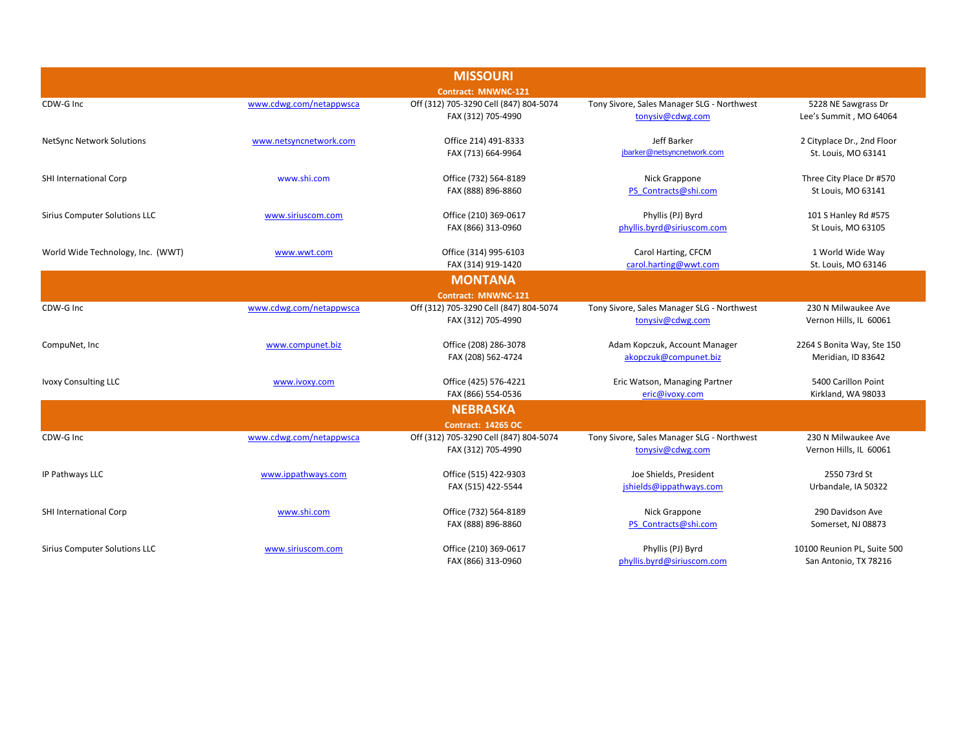|                                      |                         | <b>MISSOURI</b>                        |                                            |                             |
|--------------------------------------|-------------------------|----------------------------------------|--------------------------------------------|-----------------------------|
|                                      |                         | Contract: MNWNC-121                    |                                            |                             |
| CDW-G Inc                            | www.cdwg.com/netappwsca | Off (312) 705-3290 Cell (847) 804-5074 | Tony Sivore, Sales Manager SLG - Northwest | 5228 NE Sawgrass Dr         |
|                                      |                         | FAX (312) 705-4990                     | tonysiv@cdwg.com                           | Lee's Summit, MO 64064      |
| <b>NetSync Network Solutions</b>     | www.netsyncnetwork.com  | Office 214) 491-8333                   | Jeff Barker                                | 2 Cityplace Dr., 2nd Floor  |
|                                      |                         | FAX (713) 664-9964                     | jbarker@netsyncnetwork.com                 | St. Louis, MO 63141         |
| SHI International Corp               | www.shi.com             | Office (732) 564-8189                  | Nick Grappone                              | Three City Place Dr #570    |
|                                      |                         | FAX (888) 896-8860                     | PS Contracts@shi.com                       | St Louis, MO 63141          |
| Sirius Computer Solutions LLC        | www.siriuscom.com       | Office (210) 369-0617                  | Phyllis (PJ) Byrd                          | 101 S Hanley Rd #575        |
|                                      |                         | FAX (866) 313-0960                     | phyllis.byrd@siriuscom.com                 | St Louis, MO 63105          |
| World Wide Technology, Inc. (WWT)    | www.wwt.com             | Office (314) 995-6103                  | Carol Harting, CFCM                        | 1 World Wide Way            |
|                                      |                         | FAX (314) 919-1420                     | carol.harting@wwt.com                      | St. Louis, MO 63146         |
|                                      |                         | <b>MONTANA</b>                         |                                            |                             |
|                                      |                         | Contract: MNWNC-121                    |                                            |                             |
| CDW-G Inc                            | www.cdwg.com/netappwsca | Off (312) 705-3290 Cell (847) 804-5074 | Tony Sivore, Sales Manager SLG - Northwest | 230 N Milwaukee Ave         |
|                                      |                         | FAX (312) 705-4990                     | tonysiv@cdwg.com                           | Vernon Hills, IL 60061      |
| CompuNet, Inc                        | www.compunet.biz        | Office (208) 286-3078                  | Adam Kopczuk, Account Manager              | 2264 S Bonita Way, Ste 150  |
|                                      |                         | FAX (208) 562-4724                     | akopczuk@compunet.biz                      | Meridian, ID 83642          |
| <b>Ivoxy Consulting LLC</b>          | www.ivoxy.com           | Office (425) 576-4221                  | Eric Watson, Managing Partner              | 5400 Carillon Point         |
|                                      |                         | FAX (866) 554-0536                     | eric@ivoxy.com                             | Kirkland, WA 98033          |
|                                      |                         | <b>NEBRASKA</b>                        |                                            |                             |
|                                      |                         | <b>Contract: 14265 OC</b>              |                                            |                             |
| CDW-G Inc                            | www.cdwg.com/netappwsca | Off (312) 705-3290 Cell (847) 804-5074 | Tony Sivore, Sales Manager SLG - Northwest | 230 N Milwaukee Ave         |
|                                      |                         | FAX (312) 705-4990                     | tonysiv@cdwg.com                           | Vernon Hills, IL 60061      |
| IP Pathways LLC                      | www.ippathways.com      | Office (515) 422-9303                  | Joe Shields, President                     | 2550 73rd St                |
|                                      |                         | FAX (515) 422-5544                     | jshields@ippathways.com                    | Urbandale, IA 50322         |
| SHI International Corp               | www.shi.com             | Office (732) 564-8189                  | Nick Grappone                              | 290 Davidson Ave            |
|                                      |                         | FAX (888) 896-8860                     | PS Contracts@shi.com                       | Somerset, NJ 08873          |
| <b>Sirius Computer Solutions LLC</b> | www.siriuscom.com       | Office (210) 369-0617                  | Phyllis (PJ) Byrd                          | 10100 Reunion PL, Suite 500 |
|                                      |                         | FAX (866) 313-0960                     | phyllis.byrd@siriuscom.com                 | San Antonio, TX 78216       |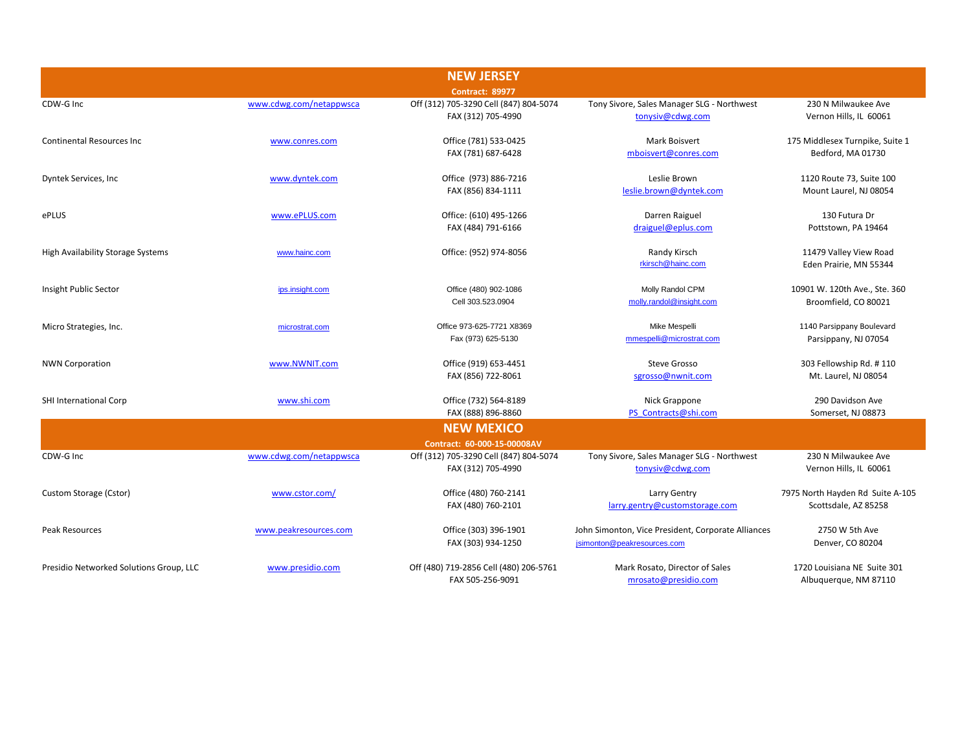| <b>NEW JERSEY</b>                       |                         |                                        |                                                    |                                  |
|-----------------------------------------|-------------------------|----------------------------------------|----------------------------------------------------|----------------------------------|
|                                         |                         | <b>Contract: 89977</b>                 |                                                    |                                  |
| CDW-G Inc                               | www.cdwg.com/netappwsca | Off (312) 705-3290 Cell (847) 804-5074 | Tony Sivore, Sales Manager SLG - Northwest         | 230 N Milwaukee Ave              |
|                                         |                         | FAX (312) 705-4990                     | tonysiv@cdwg.com                                   | Vernon Hills, IL 60061           |
| <b>Continental Resources Inc.</b>       | www.conres.com          | Office (781) 533-0425                  | <b>Mark Boisvert</b>                               | 175 Middlesex Turnpike, Suite 1  |
|                                         |                         | FAX (781) 687-6428                     | mboisvert@conres.com                               | Bedford, MA 01730                |
| Dyntek Services, Inc.                   | www.dyntek.com          | Office (973) 886-7216                  | Leslie Brown                                       | 1120 Route 73, Suite 100         |
|                                         |                         | FAX (856) 834-1111                     | leslie.brown@dyntek.com                            | Mount Laurel, NJ 08054           |
| ePLUS                                   | www.ePLUS.com           | Office: (610) 495-1266                 | Darren Raiguel                                     | 130 Futura Dr                    |
|                                         |                         | FAX (484) 791-6166                     | draiguel@eplus.com                                 | Pottstown, PA 19464              |
| High Availability Storage Systems       | www.hainc.com           | Office: (952) 974-8056                 | Randy Kirsch                                       | 11479 Valley View Road           |
|                                         |                         |                                        | rkirsch@hainc.com                                  | Eden Prairie, MN 55344           |
| Insight Public Sector                   | ips.insight.com         | Office (480) 902-1086                  | Molly Randol CPM                                   | 10901 W. 120th Ave., Ste. 360    |
|                                         |                         | Cell 303.523.0904                      | molly.randol@insight.com                           | Broomfield, CO 80021             |
| Micro Strategies, Inc.                  | microstrat.com          | Office 973-625-7721 X8369              | Mike Mespelli                                      | 1140 Parsippany Boulevard        |
|                                         |                         | Fax (973) 625-5130                     | mmespelli@microstrat.com                           | Parsippany, NJ 07054             |
| <b>NWN Corporation</b>                  | www.NWNIT.com           | Office (919) 653-4451                  | Steve Grosso                                       | 303 Fellowship Rd. #110          |
|                                         |                         | FAX (856) 722-8061                     | sgrosso@nwnit.com                                  | Mt. Laurel, NJ 08054             |
| SHI International Corp                  | www.shi.com             | Office (732) 564-8189                  | Nick Grappone                                      | 290 Davidson Ave                 |
|                                         |                         | FAX (888) 896-8860                     | PS Contracts@shi.com                               | Somerset, NJ 08873               |
|                                         |                         | <b>NEW MEXICO</b>                      |                                                    |                                  |
|                                         |                         | Contract: 60-000-15-00008AV            |                                                    |                                  |
| CDW-G Inc                               | www.cdwg.com/netappwsca | Off (312) 705-3290 Cell (847) 804-5074 | Tony Sivore, Sales Manager SLG - Northwest         | 230 N Milwaukee Ave              |
|                                         |                         | FAX (312) 705-4990                     | tonysiv@cdwg.com                                   | Vernon Hills, IL 60061           |
| Custom Storage (Cstor)                  | www.cstor.com/          | Office (480) 760-2141                  | Larry Gentry                                       | 7975 North Hayden Rd Suite A-105 |
|                                         |                         | FAX (480) 760-2101                     | larry.gentry@customstorage.com                     | Scottsdale, AZ 85258             |
| Peak Resources                          | www.peakresources.com   | Office (303) 396-1901                  | John Simonton, Vice President, Corporate Alliances | 2750 W 5th Ave                   |
|                                         |                         | FAX (303) 934-1250                     | jsimonton@peakresources.com                        | Denver, CO 80204                 |
| Presidio Networked Solutions Group, LLC | www.presidio.com        | Off (480) 719-2856 Cell (480) 206-5761 | Mark Rosato, Director of Sales                     | 1720 Louisiana NE Suite 301      |
|                                         |                         | FAX 505-256-9091                       | mrosato@presidio.com                               | Albuquerque, NM 87110            |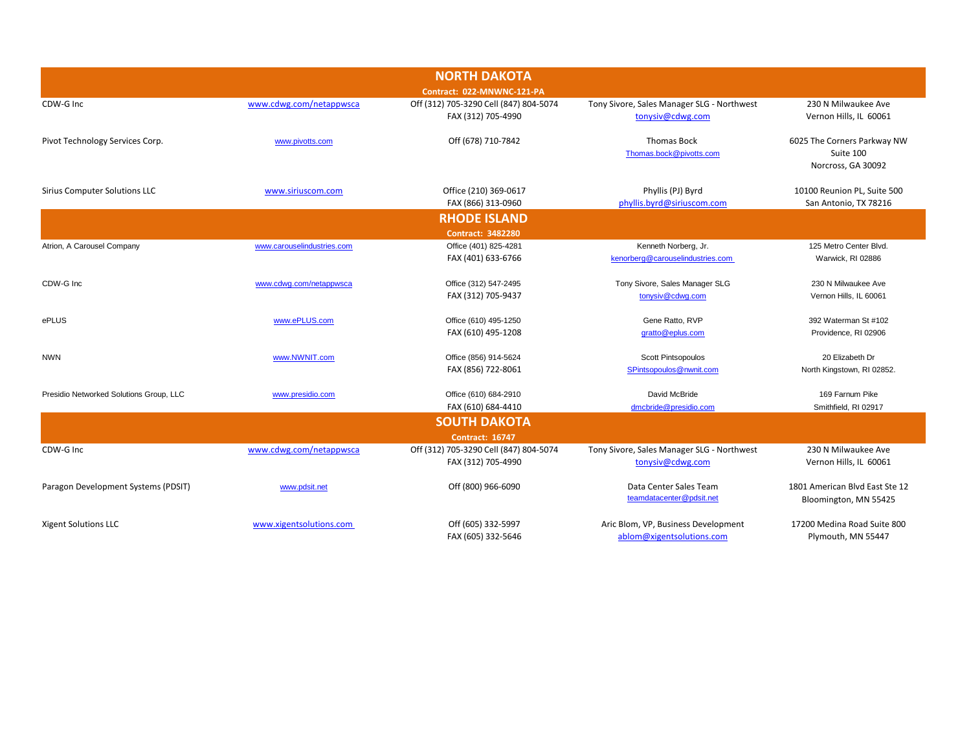|                                         |                            | <b>NORTH DAKOTA</b>                                          |                                                                |                                                      |
|-----------------------------------------|----------------------------|--------------------------------------------------------------|----------------------------------------------------------------|------------------------------------------------------|
|                                         |                            | Contract: 022-MNWNC-121-PA                                   |                                                                |                                                      |
| CDW-G Inc                               | www.cdwg.com/netappwsca    | Off (312) 705-3290 Cell (847) 804-5074                       | Tony Sivore, Sales Manager SLG - Northwest                     | 230 N Milwaukee Ave                                  |
|                                         |                            | FAX (312) 705-4990                                           | tonysiv@cdwg.com                                               | Vernon Hills, IL 60061                               |
| Pivot Technology Services Corp.         | www.pivotts.com            | Off (678) 710-7842                                           | <b>Thomas Bock</b>                                             | 6025 The Corners Parkway NW                          |
|                                         |                            |                                                              | Thomas.bock@pivotts.com                                        | Suite 100<br>Norcross, GA 30092                      |
|                                         |                            |                                                              |                                                                |                                                      |
| <b>Sirius Computer Solutions LLC</b>    | www.siriuscom.com          | Office (210) 369-0617<br>FAX (866) 313-0960                  | Phyllis (PJ) Byrd<br>phyllis.byrd@siriuscom.com                | 10100 Reunion PL, Suite 500<br>San Antonio, TX 78216 |
|                                         |                            | <b>RHODE ISLAND</b>                                          |                                                                |                                                      |
|                                         |                            | <b>Contract: 3482280</b>                                     |                                                                |                                                      |
| Atrion, A Carousel Company              | www.carouselindustries.com | Office (401) 825-4281                                        | Kenneth Norberg, Jr.                                           | 125 Metro Center Blvd.                               |
|                                         |                            | FAX (401) 633-6766                                           | kenorberg@carouselindustries.com                               | Warwick, RI 02886                                    |
| CDW-G Inc                               | www.cdwg.com/netappwsca    | Office (312) 547-2495                                        | Tony Sivore, Sales Manager SLG                                 | 230 N Milwaukee Ave                                  |
|                                         |                            | FAX (312) 705-9437                                           | tonysiv@cdwg.com                                               | Vernon Hills, IL 60061                               |
| ePLUS                                   | www.ePLUS.com              | Office (610) 495-1250                                        | Gene Ratto, RVP                                                | 392 Waterman St #102                                 |
|                                         |                            | FAX (610) 495-1208                                           | gratto@eplus.com                                               | Providence, RI 02906                                 |
| <b>NWN</b>                              | www.NWNIT.com              | Office (856) 914-5624                                        | Scott Pintsopoulos                                             | 20 Elizabeth Dr                                      |
|                                         |                            | FAX (856) 722-8061                                           | SPintsopoulos@nwnit.com                                        | North Kingstown, RI 02852.                           |
| Presidio Networked Solutions Group, LLC | www.presidio.com           | Office (610) 684-2910                                        | David McBride                                                  | 169 Farnum Pike                                      |
|                                         |                            | FAX (610) 684-4410                                           | dmcbride@presidio.com                                          | Smithfield, RI 02917                                 |
|                                         |                            | <b>SOUTH DAKOTA</b>                                          |                                                                |                                                      |
|                                         |                            | <b>Contract: 16747</b>                                       |                                                                | 230 N Milwaukee Ave                                  |
| CDW-G Inc                               | www.cdwg.com/netappwsca    | Off (312) 705-3290 Cell (847) 804-5074<br>FAX (312) 705-4990 | Tony Sivore, Sales Manager SLG - Northwest<br>tonysiv@cdwg.com | Vernon Hills, IL 60061                               |
| Paragon Development Systems (PDSIT)     | www.pdsit.net              | Off (800) 966-6090                                           | Data Center Sales Team                                         | 1801 American Blvd East Ste 12                       |
|                                         |                            |                                                              | teamdatacenter@pdsit.net                                       | Bloomington, MN 55425                                |
| <b>Xigent Solutions LLC</b>             | www.xigentsolutions.com    | Off (605) 332-5997                                           | Aric Blom, VP, Business Development                            | 17200 Medina Road Suite 800                          |
|                                         |                            | FAX (605) 332-5646                                           | ablom@xigentsolutions.com                                      | Plymouth, MN 55447                                   |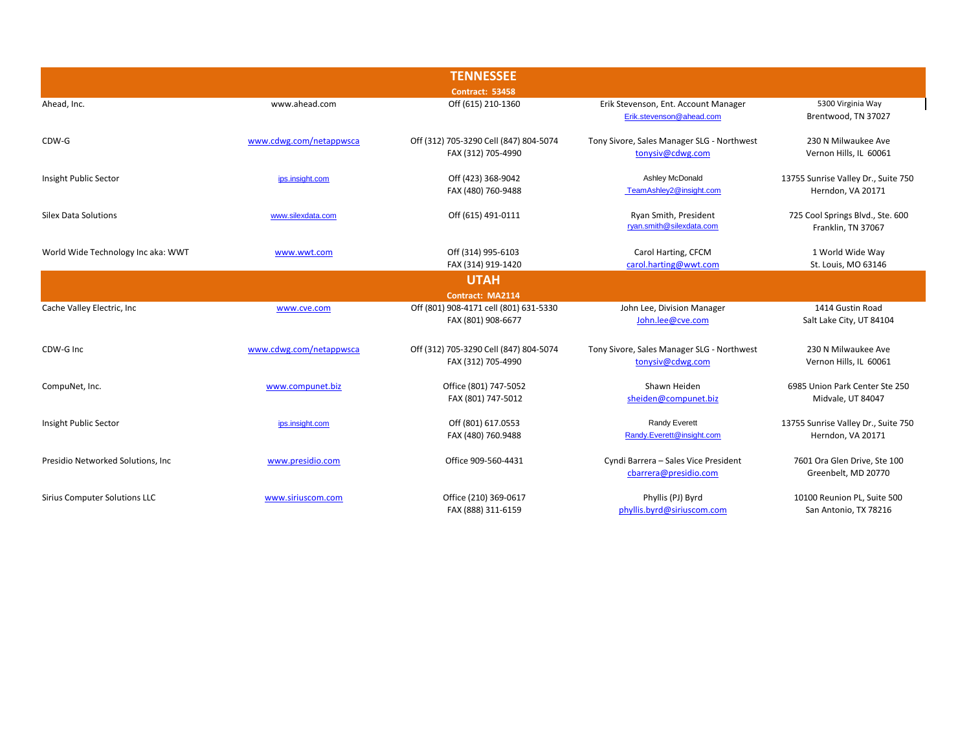|                                      |                         | <b>TENNESSEE</b>                       |                                            |                                     |
|--------------------------------------|-------------------------|----------------------------------------|--------------------------------------------|-------------------------------------|
|                                      |                         | <b>Contract: 53458</b>                 |                                            |                                     |
| Ahead, Inc.                          | www.ahead.com           | Off (615) 210-1360                     | Erik Stevenson, Ent. Account Manager       | 5300 Virginia Way                   |
|                                      |                         |                                        | Erik.stevenson@ahead.com                   | Brentwood, TN 37027                 |
| CDW-G                                | www.cdwg.com/netappwsca | Off (312) 705-3290 Cell (847) 804-5074 | Tony Sivore, Sales Manager SLG - Northwest | 230 N Milwaukee Ave                 |
|                                      |                         | FAX (312) 705-4990                     | tonysiv@cdwg.com                           | Vernon Hills, IL 60061              |
| Insight Public Sector                | ips.insight.com         | Off (423) 368-9042                     | Ashley McDonald                            | 13755 Sunrise Valley Dr., Suite 750 |
|                                      |                         | FAX (480) 760-9488                     | TeamAshley2@insight.com                    | Herndon, VA 20171                   |
| <b>Silex Data Solutions</b>          | www.silexdata.com       | Off (615) 491-0111                     | Ryan Smith, President                      | 725 Cool Springs Blvd., Ste. 600    |
|                                      |                         |                                        | ryan.smith@silexdata.com                   | Franklin, TN 37067                  |
| World Wide Technology Inc aka: WWT   | www.wwt.com             | Off (314) 995-6103                     | Carol Harting, CFCM                        | 1 World Wide Way                    |
|                                      |                         | FAX (314) 919-1420                     | carol.harting@wwt.com                      | St. Louis, MO 63146                 |
|                                      |                         | <b>UTAH</b>                            |                                            |                                     |
|                                      |                         | Contract: MA2114                       |                                            |                                     |
| Cache Valley Electric, Inc           | www.cve.com             | Off (801) 908-4171 cell (801) 631-5330 | John Lee, Division Manager                 | 1414 Gustin Road                    |
|                                      |                         | FAX (801) 908-6677                     | John.lee@cve.com                           | Salt Lake City, UT 84104            |
| CDW-G Inc                            | www.cdwg.com/netappwsca | Off (312) 705-3290 Cell (847) 804-5074 | Tony Sivore, Sales Manager SLG - Northwest | 230 N Milwaukee Ave                 |
|                                      |                         | FAX (312) 705-4990                     | tonysiv@cdwg.com                           | Vernon Hills, IL 60061              |
| CompuNet, Inc.                       | www.compunet.biz        | Office (801) 747-5052                  | Shawn Heiden                               | 6985 Union Park Center Ste 250      |
|                                      |                         | FAX (801) 747-5012                     | sheiden@compunet.biz                       | Midvale, UT 84047                   |
| Insight Public Sector                | ips.insight.com         | Off (801) 617.0553                     | Randy Everett                              | 13755 Sunrise Valley Dr., Suite 750 |
|                                      |                         | FAX (480) 760.9488                     | Randy.Everett@insight.com                  | Herndon, VA 20171                   |
| Presidio Networked Solutions, Inc.   | www.presidio.com        | Office 909-560-4431                    | Cyndi Barrera - Sales Vice President       | 7601 Ora Glen Drive, Ste 100        |
|                                      |                         |                                        | cbarrera@presidio.com                      | Greenbelt, MD 20770                 |
| <b>Sirius Computer Solutions LLC</b> | www.siriuscom.com       | Office (210) 369-0617                  | Phyllis (PJ) Byrd                          | 10100 Reunion PL, Suite 500         |
|                                      |                         | FAX (888) 311-6159                     | phyllis.byrd@siriuscom.com                 | San Antonio, TX 78216               |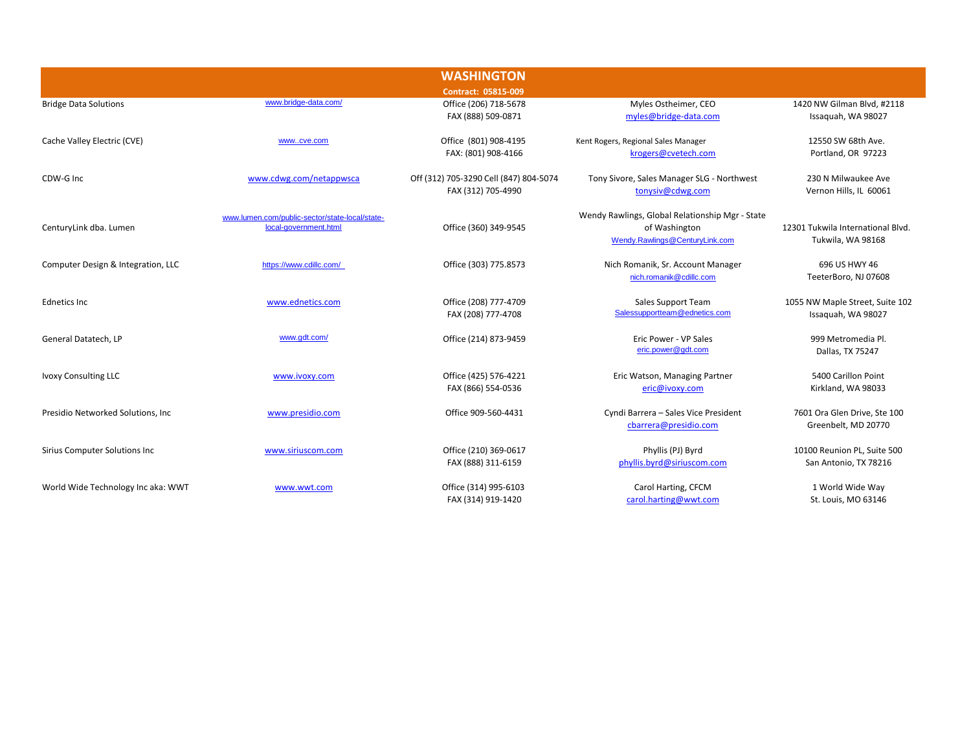| <b>WASHINGTON</b>                  |                                                                         |                                                              |                                                                                                    |                                                        |
|------------------------------------|-------------------------------------------------------------------------|--------------------------------------------------------------|----------------------------------------------------------------------------------------------------|--------------------------------------------------------|
|                                    |                                                                         | Contract: 05815-009                                          |                                                                                                    |                                                        |
| <b>Bridge Data Solutions</b>       | www.bridge-data.com/                                                    | Office (206) 718-5678<br>FAX (888) 509-0871                  | Myles Ostheimer, CEO<br>myles@bridge-data.com                                                      | 1420 NW Gilman Blvd, #2118<br>Issaquah, WA 98027       |
| Cache Valley Electric (CVE)        | wwwcve.com                                                              | Office (801) 908-4195<br>FAX: (801) 908-4166                 | Kent Rogers, Regional Sales Manager<br>krogers@cvetech.com                                         | 12550 SW 68th Ave.<br>Portland, OR 97223               |
| CDW-G Inc                          | www.cdwg.com/netappwsca                                                 | Off (312) 705-3290 Cell (847) 804-5074<br>FAX (312) 705-4990 | Tony Sivore, Sales Manager SLG - Northwest<br>tonysiv@cdwg.com                                     | 230 N Milwaukee Ave<br>Vernon Hills, IL 60061          |
| CenturyLink dba. Lumen             | www.lumen.com/public-sector/state-local/state-<br>local-government.html | Office (360) 349-9545                                        | Wendy Rawlings, Global Relationship Mgr - State<br>of Washington<br>Wendy.Rawlings@CenturyLink.com | 12301 Tukwila International Blvd.<br>Tukwila, WA 98168 |
| Computer Design & Integration, LLC | https://www.cdillc.com/                                                 | Office (303) 775.8573                                        | Nich Romanik, Sr. Account Manager<br>nich.romanik@cdillc.com                                       | 696 US HWY 46<br>TeeterBoro, NJ 07608                  |
| <b>Ednetics Inc</b>                | www.ednetics.com                                                        | Office (208) 777-4709<br>FAX (208) 777-4708                  | Sales Support Team<br>Salessupportteam@ednetics.com                                                | 1055 NW Maple Street, Suite 102<br>Issaquah, WA 98027  |
| General Datatech, LP               | www.gdt.com/                                                            | Office (214) 873-9459                                        | Eric Power - VP Sales<br>eric.power@gdt.com                                                        | 999 Metromedia Pl.<br>Dallas, TX 75247                 |
| <b>Ivoxy Consulting LLC</b>        | www.ivoxy.com                                                           | Office (425) 576-4221<br>FAX (866) 554-0536                  | Eric Watson, Managing Partner<br>eric@ivoxy.com                                                    | 5400 Carillon Point<br>Kirkland, WA 98033              |
| Presidio Networked Solutions, Inc. | www.presidio.com                                                        | Office 909-560-4431                                          | Cyndi Barrera - Sales Vice President<br>cbarrera@presidio.com                                      | 7601 Ora Glen Drive, Ste 100<br>Greenbelt, MD 20770    |
| Sirius Computer Solutions Inc      | www.siriuscom.com                                                       | Office (210) 369-0617<br>FAX (888) 311-6159                  | Phyllis (PJ) Byrd<br>phyllis.byrd@siriuscom.com                                                    | 10100 Reunion PL, Suite 500<br>San Antonio, TX 78216   |
| World Wide Technology Inc aka: WWT | www.wwt.com                                                             | Office (314) 995-6103<br>FAX (314) 919-1420                  | Carol Harting, CFCM<br>carol.harting@wwt.com                                                       | 1 World Wide Way<br>St. Louis, MO 63146                |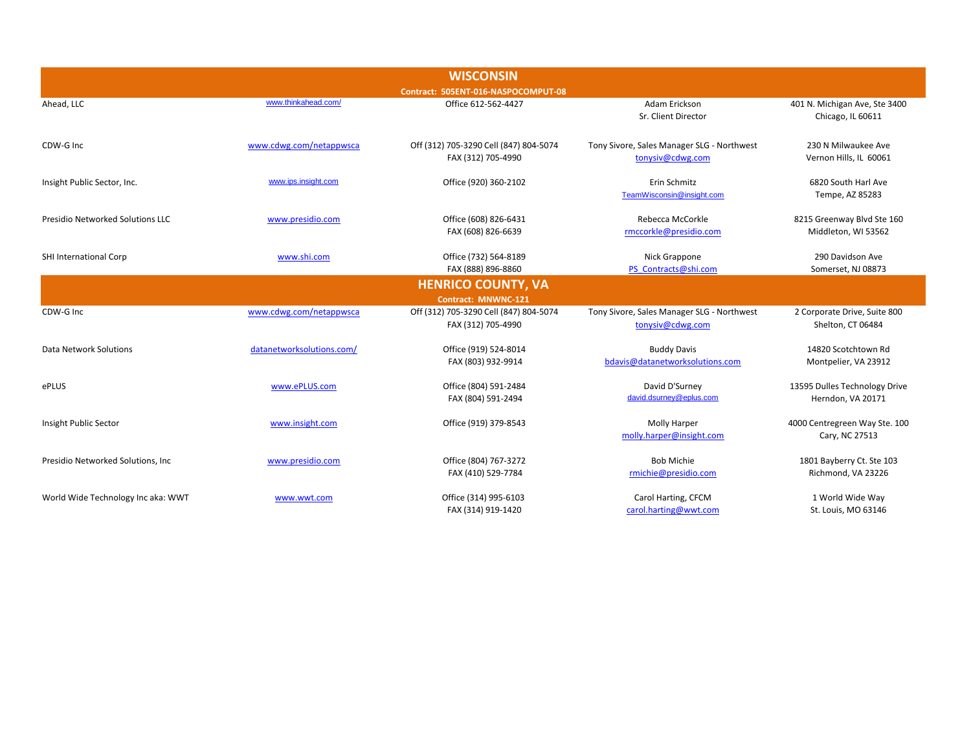| <b>WISCONSIN</b>                        |                           |                                                              |                                                                |                                                    |  |  |
|-----------------------------------------|---------------------------|--------------------------------------------------------------|----------------------------------------------------------------|----------------------------------------------------|--|--|
| Contract: 505ENT-016-NASPOCOMPUT-08     |                           |                                                              |                                                                |                                                    |  |  |
| Ahead, LLC                              | www.thinkahead.com/       | Office 612-562-4427                                          | Adam Erickson<br>Sr. Client Director                           | 401 N. Michigan Ave, Ste 3400<br>Chicago, IL 60611 |  |  |
| CDW-G Inc                               | www.cdwg.com/netappwsca   | Off (312) 705-3290 Cell (847) 804-5074<br>FAX (312) 705-4990 | Tony Sivore, Sales Manager SLG - Northwest<br>tonysiv@cdwg.com | 230 N Milwaukee Ave<br>Vernon Hills, IL 60061      |  |  |
| Insight Public Sector, Inc.             | www.ips.insight.com       | Office (920) 360-2102                                        | Erin Schmitz<br>TeamWisconsin@insight.com                      | 6820 South Harl Ave<br>Tempe, AZ 85283             |  |  |
| <b>Presidio Networked Solutions LLC</b> | www.presidio.com          | Office (608) 826-6431<br>FAX (608) 826-6639                  | Rebecca McCorkle<br>rmccorkle@presidio.com                     | 8215 Greenway Blvd Ste 160<br>Middleton, WI 53562  |  |  |
| SHI International Corp                  | www.shi.com               | Office (732) 564-8189<br>FAX (888) 896-8860                  | Nick Grappone<br>PS Contracts@shi.com                          | 290 Davidson Ave<br>Somerset, NJ 08873             |  |  |
|                                         |                           | <b>HENRICO COUNTY, VA</b>                                    |                                                                |                                                    |  |  |
|                                         |                           | Contract: MNWNC-121                                          |                                                                |                                                    |  |  |
| CDW-G Inc                               | www.cdwg.com/netappwsca   | Off (312) 705-3290 Cell (847) 804-5074<br>FAX (312) 705-4990 | Tony Sivore, Sales Manager SLG - Northwest<br>tonysiv@cdwg.com | 2 Corporate Drive, Suite 800<br>Shelton, CT 06484  |  |  |
| Data Network Solutions                  | datanetworksolutions.com/ | Office (919) 524-8014<br>FAX (803) 932-9914                  | <b>Buddy Davis</b><br>bdavis@datanetworksolutions.com          | 14820 Scotchtown Rd<br>Montpelier, VA 23912        |  |  |
| ePLUS                                   | www.ePLUS.com             | Office (804) 591-2484<br>FAX (804) 591-2494                  | David D'Surney<br>david.dsurney@eplus.com                      | 13595 Dulles Technology Drive<br>Herndon, VA 20171 |  |  |
| Insight Public Sector                   | www.insight.com           | Office (919) 379-8543                                        | Molly Harper<br>molly.harper@insight.com                       | 4000 Centregreen Way Ste. 100<br>Cary, NC 27513    |  |  |
| Presidio Networked Solutions, Inc.      | www.presidio.com          | Office (804) 767-3272<br>FAX (410) 529-7784                  | <b>Bob Michie</b><br>rmichie@presidio.com                      | 1801 Bayberry Ct. Ste 103<br>Richmond, VA 23226    |  |  |
| World Wide Technology Inc aka: WWT      | www.wwt.com               | Office (314) 995-6103<br>FAX (314) 919-1420                  | Carol Harting, CFCM<br>carol.harting@wwt.com                   | 1 World Wide Way<br>St. Louis, MO 63146            |  |  |